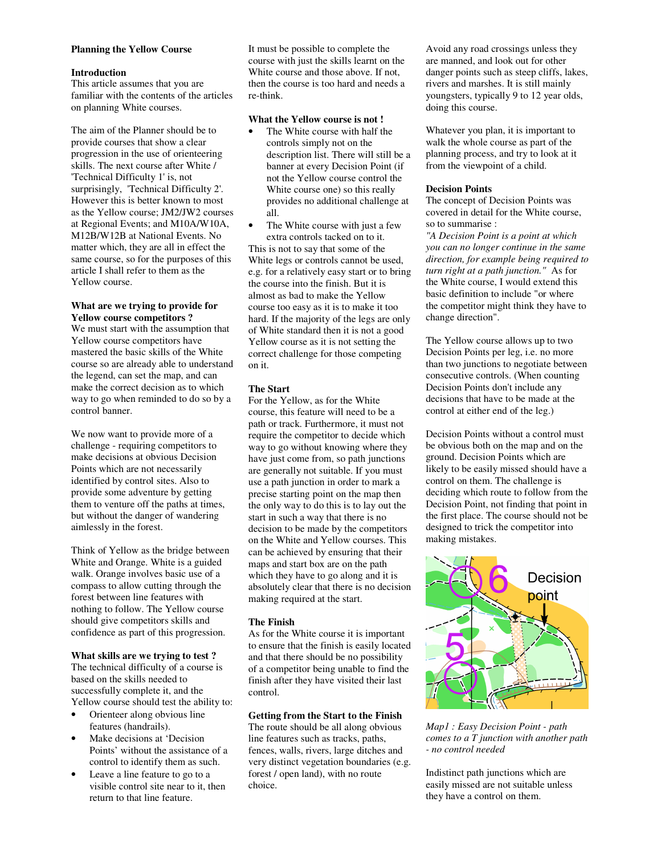### **Planning the Yellow Course**

### **Introduction**

This article assumes that you are familiar with the contents of the articles on planning White courses.

The aim of the Planner should be to provide courses that show a clear progression in the use of orienteering skills. The next course after White / 'Technical Difficulty 1' is, not surprisingly, 'Technical Difficulty 2'. However this is better known to most as the Yellow course; JM2/JW2 courses at Regional Events; and M10A/W10A, M12B/W12B at National Events. No matter which, they are all in effect the same course, so for the purposes of this article I shall refer to them as the Yellow course.

## **What are we trying to provide for Yellow course competitors ?**

We must start with the assumption that Yellow course competitors have mastered the basic skills of the White course so are already able to understand the legend, can set the map, and can make the correct decision as to which way to go when reminded to do so by a control banner.

We now want to provide more of a challenge - requiring competitors to make decisions at obvious Decision Points which are not necessarily identified by control sites. Also to provide some adventure by getting them to venture off the paths at times, but without the danger of wandering aimlessly in the forest.

Think of Yellow as the bridge between White and Orange. White is a guided walk. Orange involves basic use of a compass to allow cutting through the forest between line features with nothing to follow. The Yellow course should give competitors skills and confidence as part of this progression.

### **What skills are we trying to test ?**

The technical difficulty of a course is based on the skills needed to successfully complete it, and the Yellow course should test the ability to:

- Orienteer along obvious line features (handrails).
- Make decisions at 'Decision Points' without the assistance of a control to identify them as such.
- Leave a line feature to go to a visible control site near to it, then return to that line feature.

It must be possible to complete the course with just the skills learnt on the White course and those above. If not, then the course is too hard and needs a re-think.

### **What the Yellow course is not !**

- The White course with half the controls simply not on the description list. There will still be a banner at every Decision Point (if not the Yellow course control the White course one) so this really provides no additional challenge at all.
- The White course with just a few extra controls tacked on to it.

This is not to say that some of the White legs or controls cannot be used, e.g. for a relatively easy start or to bring the course into the finish. But it is almost as bad to make the Yellow course too easy as it is to make it too hard. If the majority of the legs are only of White standard then it is not a good Yellow course as it is not setting the correct challenge for those competing on it.

## **The Start**

For the Yellow, as for the White course, this feature will need to be a path or track. Furthermore, it must not require the competitor to decide which way to go without knowing where they have just come from, so path junctions are generally not suitable. If you must use a path junction in order to mark a precise starting point on the map then the only way to do this is to lay out the start in such a way that there is no decision to be made by the competitors on the White and Yellow courses. This can be achieved by ensuring that their maps and start box are on the path which they have to go along and it is absolutely clear that there is no decision making required at the start.

## **The Finish**

As for the White course it is important to ensure that the finish is easily located and that there should be no possibility of a competitor being unable to find the finish after they have visited their last control.

# **Getting from the Start to the Finish**

The route should be all along obvious line features such as tracks, paths, fences, walls, rivers, large ditches and very distinct vegetation boundaries (e.g. forest / open land), with no route choice.

Avoid any road crossings unless they are manned, and look out for other danger points such as steep cliffs, lakes, rivers and marshes. It is still mainly youngsters, typically 9 to 12 year olds, doing this course.

Whatever you plan, it is important to walk the whole course as part of the planning process, and try to look at it from the viewpoint of a child.

## **Decision Points**

The concept of Decision Points was covered in detail for the White course, so to summarise :

*"A Decision Point is a point at which you can no longer continue in the same direction, for example being required to turn right at a path junction."* As for the White course, I would extend this basic definition to include "or where the competitor might think they have to change direction".

The Yellow course allows up to two Decision Points per leg, i.e. no more than two junctions to negotiate between consecutive controls. (When counting Decision Points don't include any decisions that have to be made at the control at either end of the leg.)

Decision Points without a control must be obvious both on the map and on the ground. Decision Points which are likely to be easily missed should have a control on them. The challenge is deciding which route to follow from the Decision Point, not finding that point in the first place. The course should not be designed to trick the competitor into making mistakes.



*Map1 : Easy Decision Point - path comes to a T junction with another path - no control needed* 

Indistinct path junctions which are easily missed are not suitable unless they have a control on them.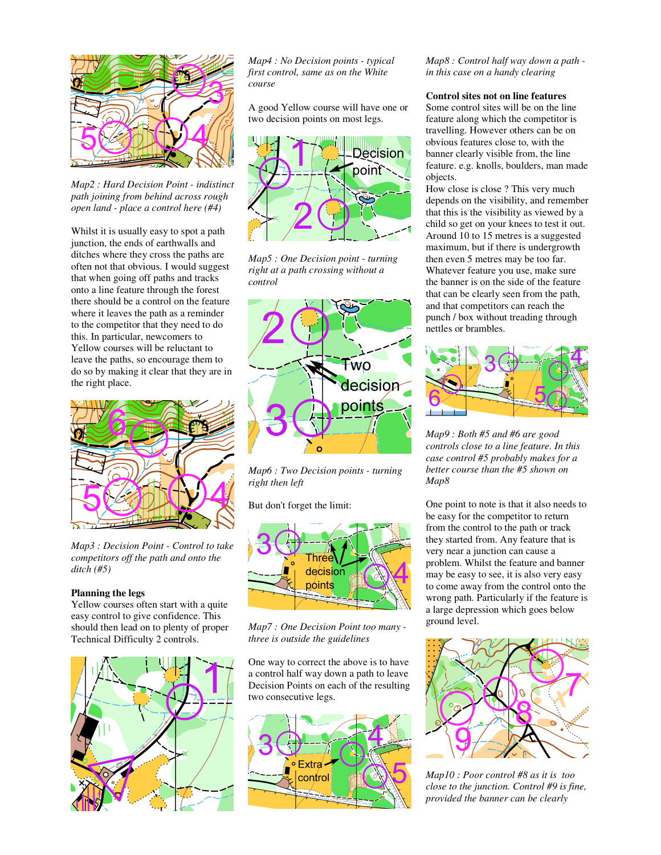

*Map2 : Hard Decision Point - indistinct path joining from behind across rough open land - place a control here (#4)* 

Whilst it is usually easy to spot a path junction, the ends of earthwalls and ditches where they cross the paths are often not that obvious. I would suggest that when going off paths and tracks onto a line feature through the forest there should be a control on the feature where it leaves the path as a reminder to the competitor that they need to do this. In particular, newcomers to Yellow courses will be reluctant to leave the paths, so encourage them to do so by making it clear that they are in the right place.



*Map3 : Decision Point - Control to take competitors off the path and onto the ditch (#5)*

## **Planning the legs**

Yellow courses often start with a quite easy control to give confidence. This should then lead on to plenty of proper Technical Difficulty 2 controls.



*Map4 : No Decision points - typical first control, same as on the White course* 

A good Yellow course will have one or two decision points on most legs.



*Map5 : One Decision point - turning right at a path crossing without a control* 



*Map6 : Two Decision points - turning right then left* 

But don't forget the limit:



*Map7 : One Decision Point too many three is outside the guidelines*

One way to correct the above is to have a control half way down a path to leave Decision Points on each of the resulting two consecutive legs.



*Map8 : Control half way down a path in this case on a handy clearing*

## **Control sites not on line features**

Some control sites will be on the line feature along which the competitor is travelling. However others can be on obvious features close to, with the banner clearly visible from, the line feature. e.g. knolls, boulders, man made objects.

How close is close ? This very much depends on the visibility, and remember that this is the visibility as viewed by a child so get on your knees to test it out. Around 10 to 15 metres is a suggested maximum, but if there is undergrowth then even 5 metres may be too far. Whatever feature you use, make sure the banner is on the side of the feature that can be clearly seen from the path, and that competitors can reach the punch / box without treading through nettles or brambles.



*Map9 : Both #5 and #6 are good controls close to a line feature. In this case control #5 probably makes for a better course than the #5 shown on Map8* 

One point to note is that it also needs to be easy for the competitor to return from the control to the path or track they started from. Any feature that is very near a junction can cause a problem. Whilst the feature and banner may be easy to see, it is also very easy to come away from the control onto the wrong path. Particularly if the feature is a large depression which goes below ground level.



*Map10 : Poor control #8 as it is too close to the junction. Control #9 is fine, provided the banner can be clearly*